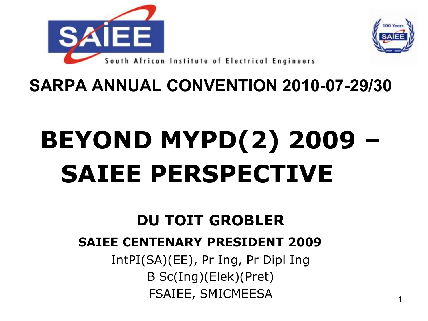



**SARPA ANNUAL CONVENTION 2010-07-29/30**

# **BEYOND MYPD(2) 2009 – SAIEE PERSPECTIVE**

### **DU TOIT GROBLER**

#### **SAIEE CENTENARY PRESIDENT 2009**

IntPI(SA)(EE), Pr Ing, Pr Dipl Ing B Sc(Ing)(Elek)(Pret) FSAIEE, SMICMEESA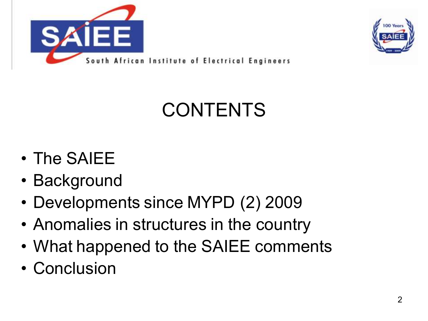



### CONTENTS

- The SAIEE
- Background
- Developments since MYPD (2) 2009
- Anomalies in structures in the country
- What happened to the SAIEE comments
- Conclusion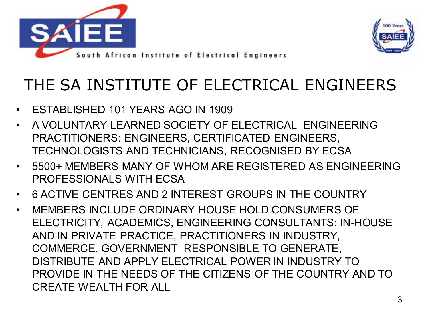



### THE SA INSTITUTE OF ELECTRICAL ENGINEERS

- ESTABLISHED 101 YEARS AGO IN 1909
- A VOLUNTARY LEARNED SOCIETY OF ELECTRICAL ENGINEERING PRACTITIONERS: ENGINEERS, CERTIFICATED ENGINEERS, TECHNOLOGISTS AND TECHNICIANS, RECOGNISED BY ECSA
- 5500+ MEMBERS MANY OF WHOM ARE REGISTERED AS ENGINEERING PROFESSIONALS WITH ECSA
- 6 ACTIVE CENTRES AND 2 INTEREST GROUPS IN THE COUNTRY
- MEMBERS INCLUDE ORDINARY HOUSE HOLD CONSUMERS OF ELECTRICITY, ACADEMICS, ENGINEERING CONSULTANTS: IN-HOUSE AND IN PRIVATE PRACTICE, PRACTITIONERS IN INDUSTRY, COMMERCE, GOVERNMENT RESPONSIBLE TO GENERATE, DISTRIBUTE AND APPLY ELECTRICAL POWER IN INDUSTRY TO PROVIDE IN THE NEEDS OF THE CITIZENS OF THE COUNTRY AND TO CREATE WEALTH FOR ALL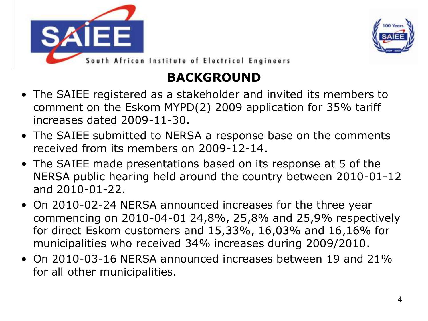



#### **BACKGROUND**

- The SAIEE registered as a stakeholder and invited its members to comment on the Eskom MYPD(2) 2009 application for 35% tariff increases dated 2009-11-30.
- The SAIEE submitted to NERSA a response base on the comments received from its members on 2009-12-14.
- The SAIEE made presentations based on its response at 5 of the NERSA public hearing held around the country between 2010-01-12 and 2010-01-22.
- On 2010-02-24 NERSA announced increases for the three year commencing on 2010-04-01 24,8%, 25,8% and 25,9% respectively for direct Eskom customers and 15,33%, 16,03% and 16,16% for municipalities who received 34% increases during 2009/2010.
- On 2010-03-16 NERSA announced increases between 19 and 21% for all other municipalities.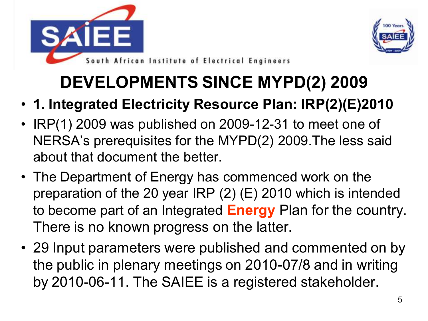



- **1. Integrated Electricity Resource Plan: IRP(2)(E)2010**
- IRP(1) 2009 was published on 2009-12-31 to meet one of NERSA's prerequisites for the MYPD(2) 2009.The less said about that document the better.
- The Department of Energy has commenced work on the preparation of the 20 year IRP (2) (E) 2010 which is intended to become part of an Integrated **Energy** Plan for the country. There is no known progress on the latter.
- 29 Input parameters were published and commented on by the public in plenary meetings on 2010-07/8 and in writing by 2010-06-11. The SAIEE is a registered stakeholder.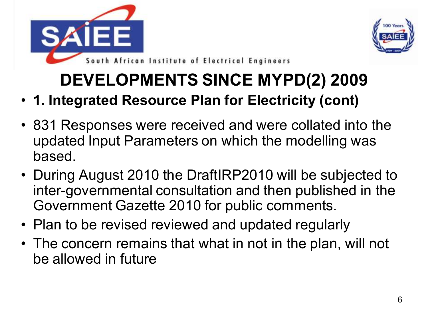



- **1. Integrated Resource Plan for Electricity (cont)**
- 831 Responses were received and were collated into the updated Input Parameters on which the modelling was based.
- During August 2010 the DraftIRP2010 will be subjected to inter-governmental consultation and then published in the Government Gazette 2010 for public comments.
- Plan to be revised reviewed and updated regularly
- The concern remains that what in not in the plan, will not be allowed in future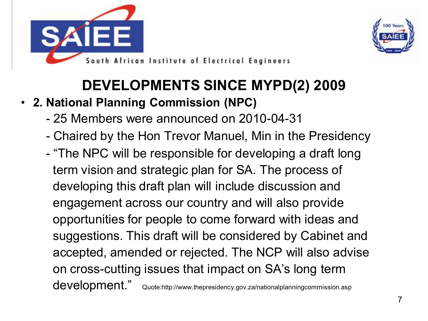



#### • **2. National Planning Commission (NPC)**

- 25 Members were announced on 2010-04-31
- Chaired by the Hon Trevor Manuel, Min in the Presidency
- "The NPC will be responsible for developing a draft long term vision and strategic plan for SA. The process of developing this draft plan will include discussion and engagement across our country and will also provide opportunities for people to come forward with ideas and suggestions. This draft will be considered by Cabinet and accepted, amended or rejected. The NCP will also advise on cross-cutting issues that impact on SA's long term development." Quote:http://www.thepresidency.gov.za/nationalplanningcommission.asp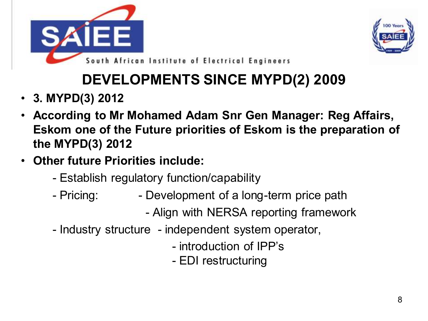



- **3. MYPD(3) 2012**
- **According to Mr Mohamed Adam Snr Gen Manager: Reg Affairs, Eskom one of the Future priorities of Eskom is the preparation of the MYPD(3) 2012**
- **Other future Priorities include:**
	- Establish regulatory function/capability
	- Pricing: The Development of a long-term price path
		- Align with NERSA reporting framework
	- Industry structure independent system operator,
		- introduction of IPP's
		- EDI restructuring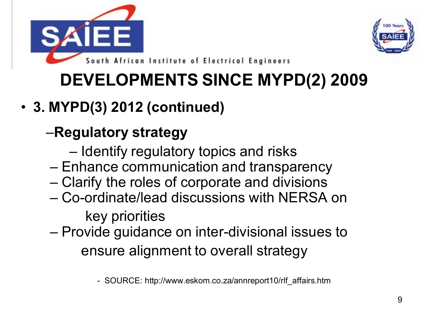



#### • **3. MYPD(3) 2012 (continued)**

#### –**Regulatory strategy**

- Identify regulatory topics and risks
- Enhance communication and transparency
- Clarify the roles of corporate and divisions
- Co-ordinate/lead discussions with NERSA on key priorities
- Provide guidance on inter-divisional issues to ensure alignment to overall strategy

- SOURCE: http://www.eskom.co.za/annreport10/rlf\_affairs.htm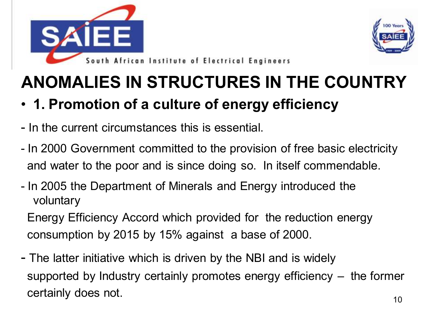



#### • **1. Promotion of a culture of energy efficiency**

- In the current circumstances this is essential.
- In 2000 Government committed to the provision of free basic electricity and water to the poor and is since doing so. In itself commendable.
- In 2005 the Department of Minerals and Energy introduced the voluntary

Energy Efficiency Accord which provided for the reduction energy consumption by 2015 by 15% against a base of 2000.

- The latter initiative which is driven by the NBI and is widely supported by Industry certainly promotes energy efficiency – the former certainly does not.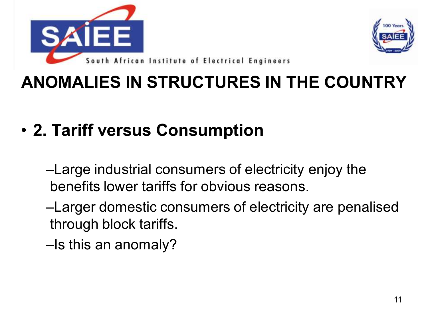



- **2. Tariff versus Consumption** 
	- –Large industrial consumers of electricity enjoy the benefits lower tariffs for obvious reasons.
	- –Larger domestic consumers of electricity are penalised through block tariffs.
	- –Is this an anomaly?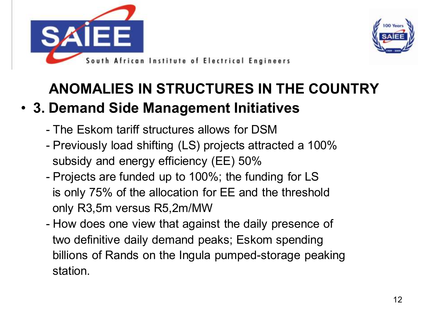



#### • **3. Demand Side Management Initiatives**

- The Eskom tariff structures allows for DSM
- Previously load shifting (LS) projects attracted a 100% subsidy and energy efficiency (EE) 50%
- Projects are funded up to 100%; the funding for LS is only 75% of the allocation for EE and the threshold only R3,5m versus R5,2m/MW
- How does one view that against the daily presence of two definitive daily demand peaks; Eskom spending billions of Rands on the Ingula pumped-storage peaking station.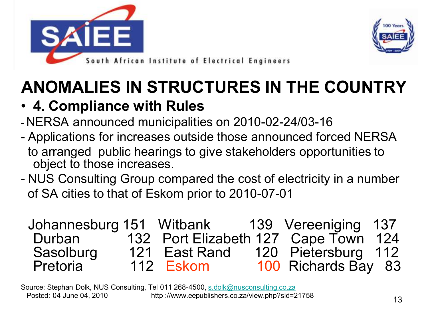



#### • **4. Compliance with Rules**

- NERSA announced municipalities on 2010-02-24/03-16
- Applications for increases outside those announced forced NERSA to arranged public hearings to give stakeholders opportunities to object to those increases.
- NUS Consulting Group compared the cost of electricity in a number of SA cities to that of Eskom prior to 2010-07-01

|           | Johannesburg 151 Witbank 139 Vereeniging 137 |                     |  |
|-----------|----------------------------------------------|---------------------|--|
| Durban    | 132 Port Elizabeth 127 Cape Town 124         |                     |  |
| Sasolburg | 121 East Rand                                | 120 Pietersburg 112 |  |
| Pretoria  | 112 Eskom                                    | 100 Richards Bay 83 |  |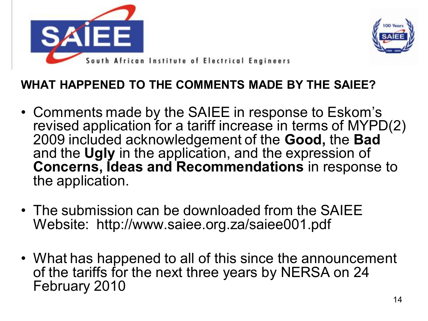



#### **WHAT HAPPENED TO THE COMMENTS MADE BY THE SAIEE?**

- Comments made by the SAIEE in response to Eskom's revised application for a tariff increase in terms of MYPD(2) 2009 included acknowledgement of the **Good,** the **Bad**  and the **Ugly** in the application, and the expression of **Concerns, Ideas and Recommendations** in response to the application.
- The submission can be downloaded from the SAIEE Website: http://www.saiee.org.za/saiee001.pdf
- What has happened to all of this since the announcement of the tariffs for the next three years by NERSA on 24 February 2010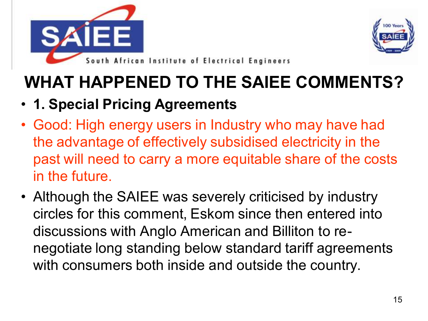



#### • **1. Special Pricing Agreements**

- Good: High energy users in Industry who may have had the advantage of effectively subsidised electricity in the past will need to carry a more equitable share of the costs in the future.
- Although the SAIEE was severely criticised by industry circles for this comment, Eskom since then entered into discussions with Anglo American and Billiton to renegotiate long standing below standard tariff agreements with consumers both inside and outside the country.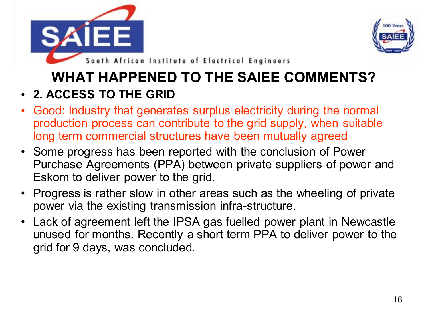



South African Institute of Electrical Engineers

#### **WHAT HAPPENED TO THE SAIEE COMMENTS?**

#### • **2. ACCESS TO THE GRID**

- Good: Industry that generates surplus electricity during the normal production process can contribute to the grid supply, when suitable long term commercial structures have been mutually agreed
- Some progress has been reported with the conclusion of Power Purchase Agreements (PPA) between private suppliers of power and Eskom to deliver power to the grid.
- Progress is rather slow in other areas such as the wheeling of private power via the existing transmission infra-structure.
- Lack of agreement left the IPSA gas fuelled power plant in Newcastle unused for months. Recently a short term PPA to deliver power to the grid for 9 days, was concluded.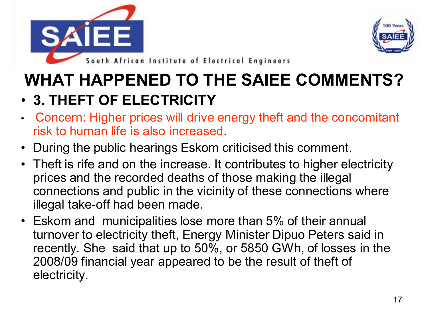



#### **WHAT HAPPENED TO THE SAIEE COMMENTS?** • **3. THEFT OF ELECTRICITY**

- Concern: Higher prices will drive energy theft and the concomitant risk to human life is also increased.
- During the public hearings Eskom criticised this comment.
- Theft is rife and on the increase. It contributes to higher electricity prices and the recorded deaths of those making the illegal connections and public in the vicinity of these connections where illegal take-off had been made.
- Eskom and municipalities lose more than 5% of their annual turnover to electricity theft, Energy Minister Dipuo Peters said in recently. She said that up to 50%, or 5850 GWh, of losses in the 2008/09 financial year appeared to be the result of theft of electricity.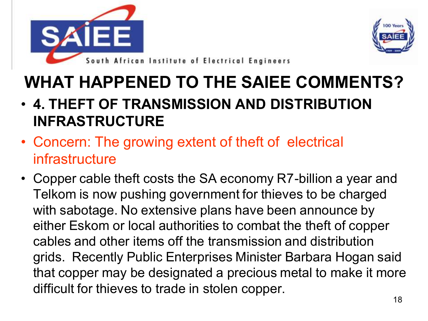



- **4. THEFT OF TRANSMISSION AND DISTRIBUTION INFRASTRUCTURE**
- Concern: The growing extent of theft of electrical infrastructure
- Copper cable theft costs the SA economy R7-billion a year and Telkom is now pushing government for thieves to be charged with sabotage. No extensive plans have been announce by either Eskom or local authorities to combat the theft of copper cables and other items off the transmission and distribution grids. Recently Public Enterprises Minister Barbara Hogan said that copper may be designated a precious metal to make it more difficult for thieves to trade in stolen copper.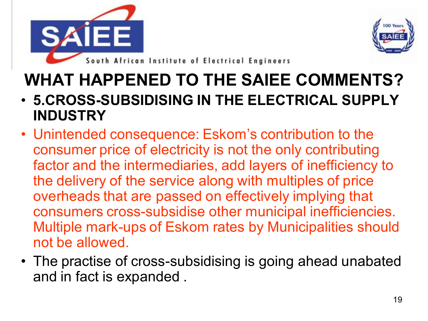



- **5.CROSS-SUBSIDISING IN THE ELECTRICAL SUPPLY INDUSTRY**
- Unintended consequence: Eskom's contribution to the consumer price of electricity is not the only contributing factor and the intermediaries, add layers of inefficiency to the delivery of the service along with multiples of price overheads that are passed on effectively implying that consumers cross-subsidise other municipal inefficiencies. Multiple mark-ups of Eskom rates by Municipalities should not be allowed.
- The practise of cross-subsidising is going ahead unabated and in fact is expanded .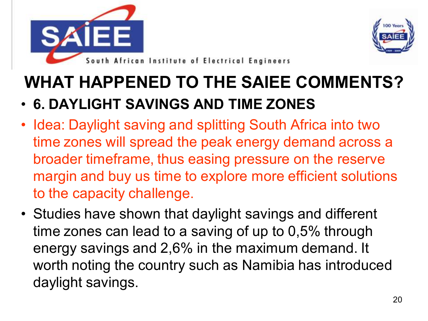



#### • **6. DAYLIGHT SAVINGS AND TIME ZONES**

- Idea: Daylight saving and splitting South Africa into two time zones will spread the peak energy demand across a broader timeframe, thus easing pressure on the reserve margin and buy us time to explore more efficient solutions to the capacity challenge.
- Studies have shown that daylight savings and different time zones can lead to a saving of up to 0,5% through energy savings and 2,6% in the maximum demand. It worth noting the country such as Namibia has introduced daylight savings.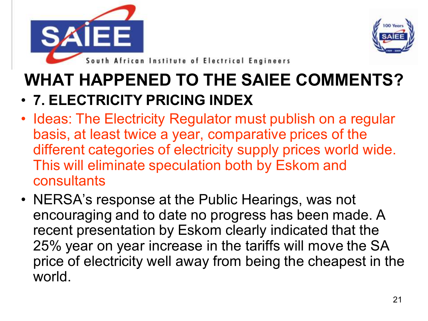



#### • **7. ELECTRICITY PRICING INDEX**

- Ideas: The Electricity Regulator must publish on a regular basis, at least twice a year, comparative prices of the different categories of electricity supply prices world wide. This will eliminate speculation both by Eskom and consultants
- NERSA's response at the Public Hearings, was not encouraging and to date no progress has been made. A recent presentation by Eskom clearly indicated that the 25% year on year increase in the tariffs will move the SA price of electricity well away from being the cheapest in the world.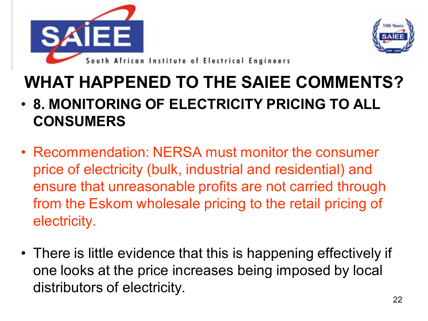



- **8. MONITORING OF ELECTRICITY PRICING TO ALL CONSUMERS**
- Recommendation: NERSA must monitor the consumer price of electricity (bulk, industrial and residential) and ensure that unreasonable profits are not carried through from the Eskom wholesale pricing to the retail pricing of electricity.
- There is little evidence that this is happening effectively if one looks at the price increases being imposed by local distributors of electricity.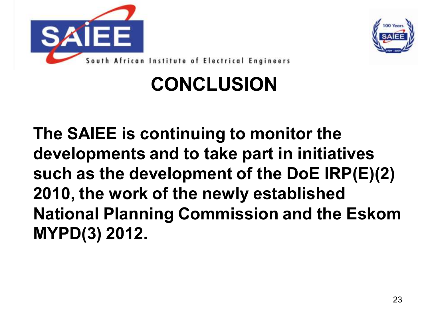



### **CONCLUSION**

**The SAIEE is continuing to monitor the developments and to take part in initiatives such as the development of the DoE IRP(E)(2) 2010, the work of the newly established National Planning Commission and the Eskom MYPD(3) 2012.**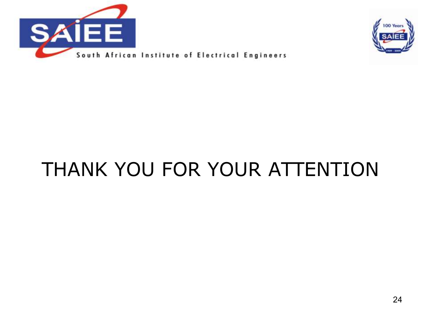



## THANK YOU FOR YOUR ATTENTION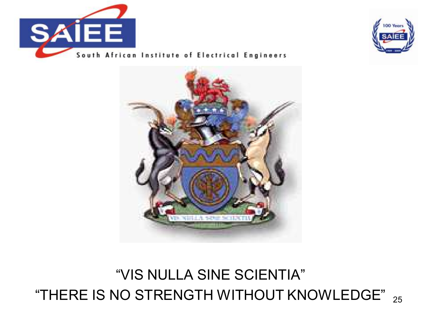



South African Institute of Electrical Engineers



#### "THERE IS NO STRENGTH WITHOUT KNOWLEDGE"  $_{\rm 25}$ "VIS NULLA SINE SCIENTIA"